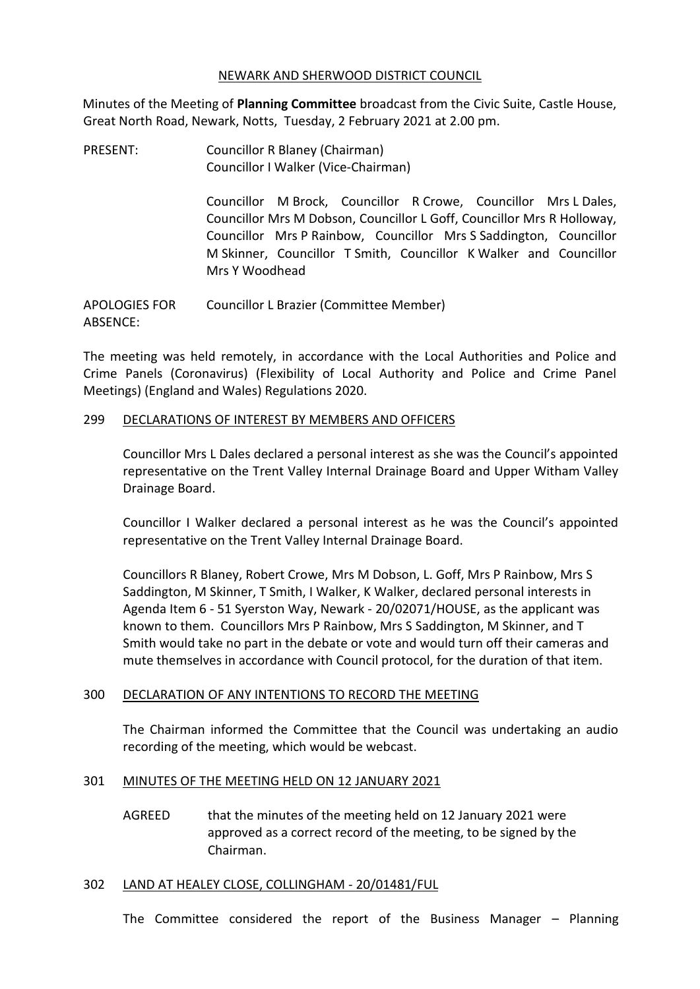## NEWARK AND SHERWOOD DISTRICT COUNCIL

Minutes of the Meeting of **Planning Committee** broadcast from the Civic Suite, Castle House, Great North Road, Newark, Notts, Tuesday, 2 February 2021 at 2.00 pm.

PRESENT: Councillor R Blaney (Chairman) Councillor I Walker (Vice-Chairman)

> Councillor M Brock, Councillor R Crowe, Councillor Mrs L Dales, Councillor Mrs M Dobson, Councillor L Goff, Councillor Mrs R Holloway, Councillor Mrs P Rainbow, Councillor Mrs S Saddington, Councillor M Skinner, Councillor T Smith, Councillor K Walker and Councillor Mrs Y Woodhead

APOLOGIES FOR ABSENCE: Councillor L Brazier (Committee Member)

The meeting was held remotely, in accordance with the Local Authorities and Police and Crime Panels (Coronavirus) (Flexibility of Local Authority and Police and Crime Panel Meetings) (England and Wales) Regulations 2020.

## 299 DECLARATIONS OF INTEREST BY MEMBERS AND OFFICERS

Councillor Mrs L Dales declared a personal interest as she was the Council's appointed representative on the Trent Valley Internal Drainage Board and Upper Witham Valley Drainage Board.

Councillor I Walker declared a personal interest as he was the Council's appointed representative on the Trent Valley Internal Drainage Board.

Councillors R Blaney, Robert Crowe, Mrs M Dobson, L. Goff, Mrs P Rainbow, Mrs S Saddington, M Skinner, T Smith, I Walker, K Walker, declared personal interests in Agenda Item 6 - 51 Syerston Way, Newark - 20/02071/HOUSE, as the applicant was known to them. Councillors Mrs P Rainbow, Mrs S Saddington, M Skinner, and T Smith would take no part in the debate or vote and would turn off their cameras and mute themselves in accordance with Council protocol, for the duration of that item.

# 300 DECLARATION OF ANY INTENTIONS TO RECORD THE MEETING

The Chairman informed the Committee that the Council was undertaking an audio recording of the meeting, which would be webcast.

# 301 MINUTES OF THE MEETING HELD ON 12 JANUARY 2021

AGREED that the minutes of the meeting held on 12 January 2021 were approved as a correct record of the meeting, to be signed by the Chairman.

#### 302 LAND AT HEALEY CLOSE, COLLINGHAM - 20/01481/FUL

The Committee considered the report of the Business Manager – Planning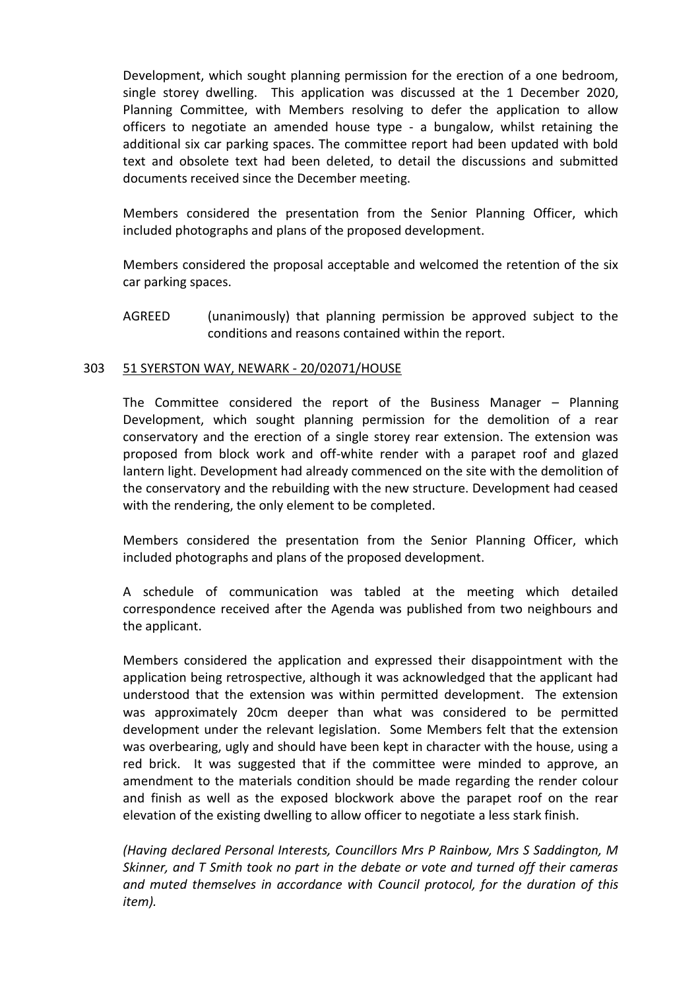Development, which sought planning permission for the erection of a one bedroom, single storey dwelling. This application was discussed at the 1 December 2020, Planning Committee, with Members resolving to defer the application to allow officers to negotiate an amended house type - a bungalow, whilst retaining the additional six car parking spaces. The committee report had been updated with bold text and obsolete text had been deleted, to detail the discussions and submitted documents received since the December meeting.

Members considered the presentation from the Senior Planning Officer, which included photographs and plans of the proposed development.

Members considered the proposal acceptable and welcomed the retention of the six car parking spaces.

AGREED (unanimously) that planning permission be approved subject to the conditions and reasons contained within the report.

# 303 51 SYERSTON WAY, NEWARK - 20/02071/HOUSE

The Committee considered the report of the Business Manager – Planning Development, which sought planning permission for the demolition of a rear conservatory and the erection of a single storey rear extension. The extension was proposed from block work and off-white render with a parapet roof and glazed lantern light. Development had already commenced on the site with the demolition of the conservatory and the rebuilding with the new structure. Development had ceased with the rendering, the only element to be completed.

Members considered the presentation from the Senior Planning Officer, which included photographs and plans of the proposed development.

A schedule of communication was tabled at the meeting which detailed correspondence received after the Agenda was published from two neighbours and the applicant.

Members considered the application and expressed their disappointment with the application being retrospective, although it was acknowledged that the applicant had understood that the extension was within permitted development. The extension was approximately 20cm deeper than what was considered to be permitted development under the relevant legislation. Some Members felt that the extension was overbearing, ugly and should have been kept in character with the house, using a red brick. It was suggested that if the committee were minded to approve, an amendment to the materials condition should be made regarding the render colour and finish as well as the exposed blockwork above the parapet roof on the rear elevation of the existing dwelling to allow officer to negotiate a less stark finish.

*(Having declared Personal Interests, Councillors Mrs P Rainbow, Mrs S Saddington, M Skinner, and T Smith took no part in the debate or vote and turned off their cameras and muted themselves in accordance with Council protocol, for the duration of this item).*